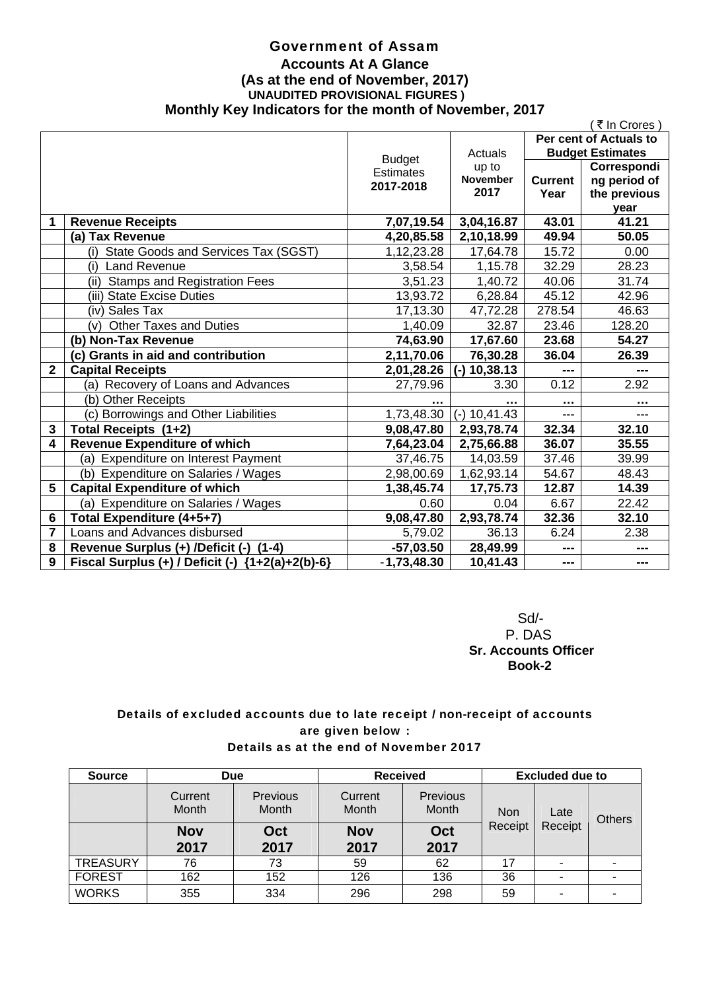### Government of Assam **Accounts At A Glance (As at the end of November, 2017) UNAUDITED PROVISIONAL FIGURES ) Monthly Key Indicators for the month of November, 2017**

|              |                                                       |                  |                 |                | ₹ In Crores             |  |
|--------------|-------------------------------------------------------|------------------|-----------------|----------------|-------------------------|--|
|              |                                                       |                  |                 |                | Per cent of Actuals to  |  |
|              |                                                       | <b>Budget</b>    | Actuals         |                | <b>Budget Estimates</b> |  |
|              |                                                       | <b>Estimates</b> | up to           |                | Correspondi             |  |
|              |                                                       | 2017-2018        | <b>November</b> | <b>Current</b> | ng period of            |  |
|              |                                                       |                  | 2017            | Year           | the previous            |  |
|              |                                                       |                  |                 |                | year                    |  |
| 1            | <b>Revenue Receipts</b>                               | 7,07,19.54       | 3,04,16.87      | 43.01          | 41.21                   |  |
|              | (a) Tax Revenue                                       | 4,20,85.58       | 2,10,18.99      | 49.94          | 50.05                   |  |
|              | State Goods and Services Tax (SGST)<br>(i)            | 1,12,23.28       | 17,64.78        | 15.72          | 0.00                    |  |
|              | <b>Land Revenue</b><br>(i)                            | 3,58.54          | 1,15.78         | 32.29          | 28.23                   |  |
|              | <b>Stamps and Registration Fees</b><br>(ii)           | 3,51.23          | 1,40.72         | 40.06          | 31.74                   |  |
|              | (iii) State Excise Duties                             | 13,93.72         | 6,28.84         | 45.12          | 42.96                   |  |
|              | (iv) Sales Tax                                        | 17,13.30         | 47,72.28        | 278.54         | 46.63                   |  |
|              | <b>Other Taxes and Duties</b><br>(v)                  | 1,40.09          | 32.87           | 23.46          | 128.20                  |  |
|              | (b) Non-Tax Revenue                                   | 74,63.90         | 17,67.60        | 23.68          | 54.27                   |  |
|              | (c) Grants in aid and contribution                    | 2,11,70.06       | 76,30.28        | 36.04          | 26.39                   |  |
| $\mathbf{2}$ | <b>Capital Receipts</b>                               | 2,01,28.26       | 10,38.13        |                | ---                     |  |
|              | (a) Recovery of Loans and Advances                    | 27,79.96         | 3.30            | 0.12           | 2.92                    |  |
|              | (b) Other Receipts                                    |                  |                 |                |                         |  |
|              | (c) Borrowings and Other Liabilities                  | 1,73,48.30       | $(-)$ 10,41.43  | ---            |                         |  |
| 3            | Total Receipts (1+2)                                  | 9,08,47.80       | 2,93,78.74      | 32.34          | 32.10                   |  |
| 4            | <b>Revenue Expenditure of which</b>                   | 7,64,23.04       | 2,75,66.88      | 36.07          | 35.55                   |  |
|              | (a) Expenditure on Interest Payment                   | 37,46.75         | 14,03.59        | 37.46          | 39.99                   |  |
|              | (b) Expenditure on Salaries / Wages                   | 2,98,00.69       | 1,62,93.14      | 54.67          | 48.43                   |  |
| 5            | <b>Capital Expenditure of which</b>                   | 1,38,45.74       | 17,75.73        | 12.87          | 14.39                   |  |
|              | (a) Expenditure on Salaries / Wages                   | 0.60             | 0.04            | 6.67           | 22.42                   |  |
| 6            | Total Expenditure (4+5+7)                             | 9,08,47.80       | 2,93,78.74      | 32.36          | 32.10                   |  |
| 7            | Loans and Advances disbursed                          | 5,79.02          | 36.13           | 6.24           | 2.38                    |  |
| 8            | $(1-4)$<br>Revenue Surplus (+) /Deficit (-)           | $-57,03.50$      | 28,49.99        | ---            | ---                     |  |
| 9            | Fiscal Surplus (+) / Deficit (-)<br>${1+2(a)+2(b)-6}$ | $-1,73,48.30$    | 10,41.43        | ---            | ---                     |  |

 Sd/- P. DAS  **Sr. Accounts Officer Book-2** 

### Details of excluded accounts due to late receipt / non-receipt of accounts are given below : Details as at the end of November 2017

| <b>Source</b>   | <b>Due</b>       |                   | <b>Received</b>  |                          | <b>Excluded due to</b> |         |  |  |      |               |
|-----------------|------------------|-------------------|------------------|--------------------------|------------------------|---------|--|--|------|---------------|
|                 | Current<br>Month | Previous<br>Month | Current<br>Month | <b>Previous</b><br>Month | <b>Non</b>             |         |  |  | Late | <b>Others</b> |
|                 | <b>Nov</b>       | Oct               | <b>Nov</b>       | Oct                      | Receipt                | Receipt |  |  |      |               |
|                 | 2017             | 2017              | 2017             | 2017                     |                        |         |  |  |      |               |
| <b>TREASURY</b> | 76               | 73                | 59               | 62                       | 17                     | ۰       |  |  |      |               |
| <b>FOREST</b>   | 162              | 152               | 126              | 136                      | 36                     |         |  |  |      |               |
| <b>WORKS</b>    | 355              | 334               | 296              | 298                      | 59                     | -       |  |  |      |               |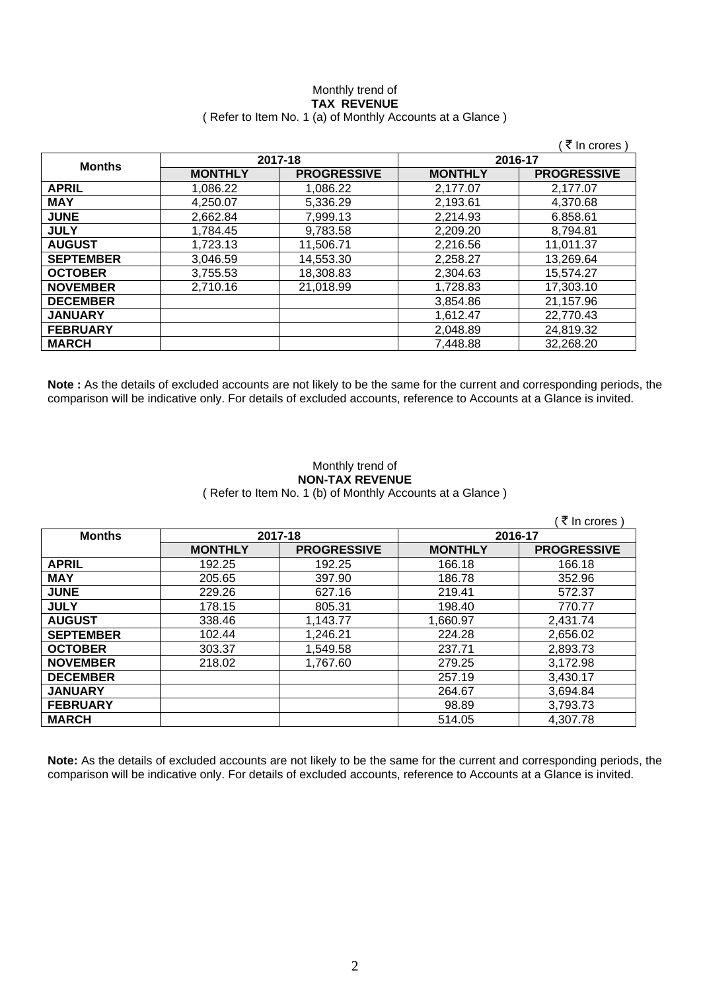#### Monthly trend of **TAX REVENUE**  ( Refer to Item No. 1 (a) of Monthly Accounts at a Glance )

|                  |                |                    |                | ( ₹ In crores )    |
|------------------|----------------|--------------------|----------------|--------------------|
| <b>Months</b>    |                | 2017-18            |                | 2016-17            |
|                  | <b>MONTHLY</b> | <b>PROGRESSIVE</b> | <b>MONTHLY</b> | <b>PROGRESSIVE</b> |
| <b>APRIL</b>     | 1,086.22       | 1,086.22           | 2,177.07       | 2,177.07           |
| <b>MAY</b>       | 4,250.07       | 5,336.29           | 2,193.61       | 4,370.68           |
| <b>JUNE</b>      | 2.662.84       | 7,999.13           | 2,214.93       | 6.858.61           |
| <b>JULY</b>      | 1,784.45       | 9,783.58           | 2,209.20       | 8,794.81           |
| <b>AUGUST</b>    | 1,723.13       | 11,506.71          | 2,216.56       | 11,011.37          |
| <b>SEPTEMBER</b> | 3,046.59       | 14,553.30          | 2,258.27       | 13,269.64          |
| <b>OCTOBER</b>   | 3,755.53       | 18,308.83          | 2,304.63       | 15,574.27          |
| <b>NOVEMBER</b>  | 2,710.16       | 21,018.99          | 1,728.83       | 17,303.10          |
| <b>DECEMBER</b>  |                |                    | 3,854.86       | 21,157.96          |
| <b>JANUARY</b>   |                |                    | 1,612.47       | 22,770.43          |
| <b>FEBRUARY</b>  |                |                    | 2,048.89       | 24,819.32          |
| <b>MARCH</b>     |                |                    | 7,448.88       | 32,268.20          |

**Note :** As the details of excluded accounts are not likely to be the same for the current and corresponding periods, the comparison will be indicative only. For details of excluded accounts, reference to Accounts at a Glance is invited.

#### Monthly trend of **NON-TAX REVENUE**  ( Refer to Item No. 1 (b) of Monthly Accounts at a Glance )

|                  |                |                    |                | (₹ In crores)      |
|------------------|----------------|--------------------|----------------|--------------------|
| <b>Months</b>    | 2017-18        |                    | 2016-17        |                    |
|                  | <b>MONTHLY</b> | <b>PROGRESSIVE</b> | <b>MONTHLY</b> | <b>PROGRESSIVE</b> |
| <b>APRIL</b>     | 192.25         | 192.25             | 166.18         | 166.18             |
| <b>MAY</b>       | 205.65         | 397.90             | 186.78         | 352.96             |
| <b>JUNE</b>      | 229.26         | 627.16             | 219.41         | 572.37             |
| <b>JULY</b>      | 178.15         | 805.31             | 198.40         | 770.77             |
| <b>AUGUST</b>    | 338.46         | 1,143.77           | 1,660.97       | 2,431.74           |
| <b>SEPTEMBER</b> | 102.44         | 1,246.21           | 224.28         | 2,656.02           |
| <b>OCTOBER</b>   | 303.37         | 1,549.58           | 237.71         | 2,893.73           |
| <b>NOVEMBER</b>  | 218.02         | 1,767.60           | 279.25         | 3,172.98           |
| <b>DECEMBER</b>  |                |                    | 257.19         | 3,430.17           |
| <b>JANUARY</b>   |                |                    | 264.67         | 3,694.84           |
| <b>FEBRUARY</b>  |                |                    | 98.89          | 3,793.73           |
| <b>MARCH</b>     |                |                    | 514.05         | 4,307.78           |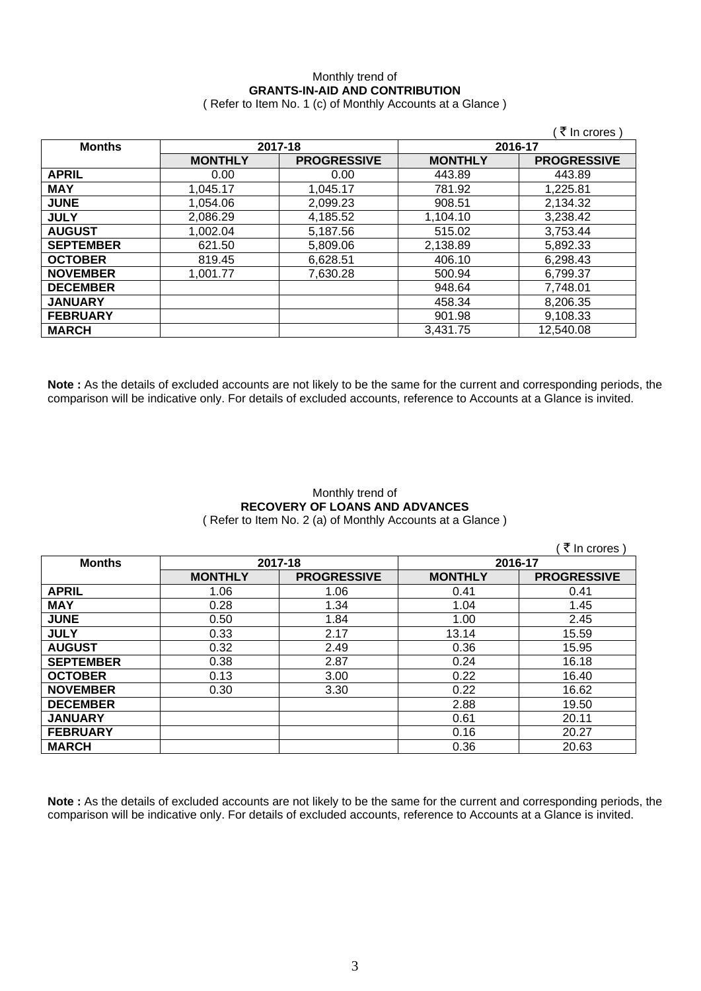## Monthly trend of **GRANTS-IN-AID AND CONTRIBUTION**

( Refer to Item No. 1 (c) of Monthly Accounts at a Glance )

|                  |                |                    |                | ₹ In crores )      |
|------------------|----------------|--------------------|----------------|--------------------|
| <b>Months</b>    |                | 2017-18            |                | 2016-17            |
|                  | <b>MONTHLY</b> | <b>PROGRESSIVE</b> | <b>MONTHLY</b> | <b>PROGRESSIVE</b> |
| <b>APRIL</b>     | 0.00           | 0.00               | 443.89         | 443.89             |
| <b>MAY</b>       | 1,045.17       | 1,045.17           | 781.92         | 1,225.81           |
| <b>JUNE</b>      | 1.054.06       | 2,099.23           | 908.51         | 2,134.32           |
| <b>JULY</b>      | 2.086.29       | 4,185.52           | 1,104.10       | 3,238.42           |
| <b>AUGUST</b>    | 1,002.04       | 5,187.56           | 515.02         | 3,753.44           |
| <b>SEPTEMBER</b> | 621.50         | 5,809.06           | 2,138.89       | 5,892.33           |
| <b>OCTOBER</b>   | 819.45         | 6,628.51           | 406.10         | 6,298.43           |
| <b>NOVEMBER</b>  | 1,001.77       | 7,630.28           | 500.94         | 6,799.37           |
| <b>DECEMBER</b>  |                |                    | 948.64         | 7,748.01           |
| <b>JANUARY</b>   |                |                    | 458.34         | 8,206.35           |
| <b>FEBRUARY</b>  |                |                    | 901.98         | 9,108.33           |
| <b>MARCH</b>     |                |                    | 3,431.75       | 12,540.08          |

**Note :** As the details of excluded accounts are not likely to be the same for the current and corresponding periods, the comparison will be indicative only. For details of excluded accounts, reference to Accounts at a Glance is invited.

#### Monthly trend of **RECOVERY OF LOANS AND ADVANCES**  ( Refer to Item No. 2 (a) of Monthly Accounts at a Glance )

 $($   $\bar{\bar{\tau}}$  In crores )

| <b>Months</b>    | 2017-18        |                    | 2016-17        |                    |
|------------------|----------------|--------------------|----------------|--------------------|
|                  | <b>MONTHLY</b> | <b>PROGRESSIVE</b> | <b>MONTHLY</b> | <b>PROGRESSIVE</b> |
| <b>APRIL</b>     | 1.06           | 1.06               | 0.41           | 0.41               |
| <b>MAY</b>       | 0.28           | 1.34               | 1.04           | 1.45               |
| <b>JUNE</b>      | 0.50           | 1.84               | 1.00           | 2.45               |
| <b>JULY</b>      | 0.33           | 2.17               | 13.14          | 15.59              |
| <b>AUGUST</b>    | 0.32           | 2.49               | 0.36           | 15.95              |
| <b>SEPTEMBER</b> | 0.38           | 2.87               | 0.24           | 16.18              |
| <b>OCTOBER</b>   | 0.13           | 3.00               | 0.22           | 16.40              |
| <b>NOVEMBER</b>  | 0.30           | 3.30               | 0.22           | 16.62              |
| <b>DECEMBER</b>  |                |                    | 2.88           | 19.50              |
| <b>JANUARY</b>   |                |                    | 0.61           | 20.11              |
| <b>FEBRUARY</b>  |                |                    | 0.16           | 20.27              |
| <b>MARCH</b>     |                |                    | 0.36           | 20.63              |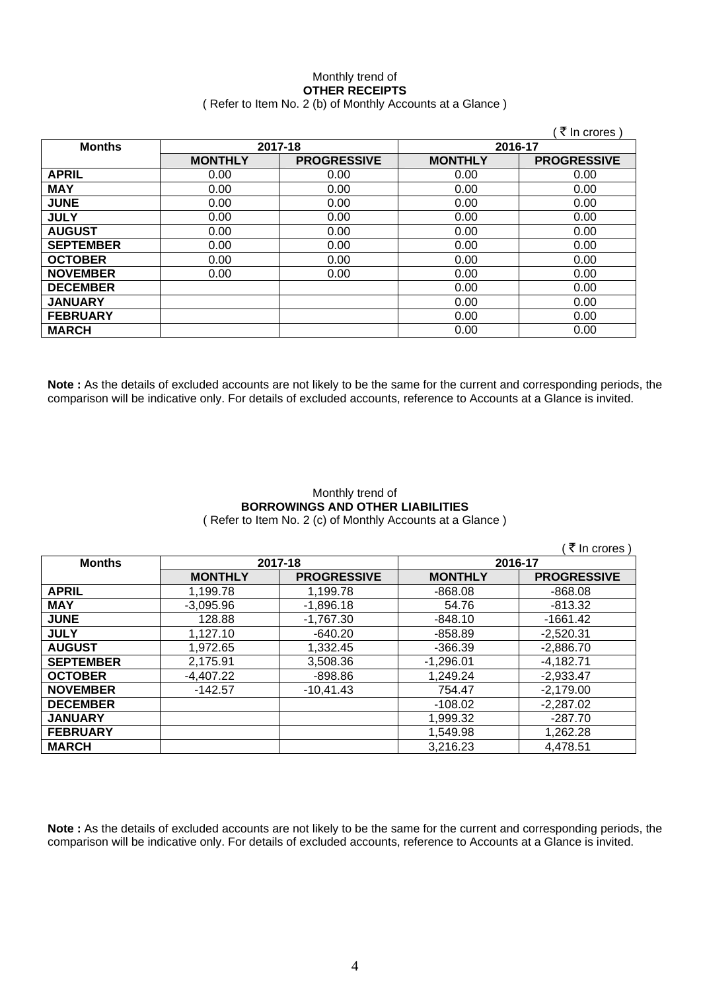#### Monthly trend of **OTHER RECEIPTS**  ( Refer to Item No. 2 (b) of Monthly Accounts at a Glance )

|                  |                |                    |                | ₹ In crores        |
|------------------|----------------|--------------------|----------------|--------------------|
| <b>Months</b>    | 2017-18        |                    | 2016-17        |                    |
|                  | <b>MONTHLY</b> | <b>PROGRESSIVE</b> | <b>MONTHLY</b> | <b>PROGRESSIVE</b> |
| <b>APRIL</b>     | 0.00           | 0.00               | 0.00           | 0.00               |
| <b>MAY</b>       | 0.00           | 0.00               | 0.00           | 0.00               |
| <b>JUNE</b>      | 0.00           | 0.00               | 0.00           | 0.00               |
| <b>JULY</b>      | 0.00           | 0.00               | 0.00           | 0.00               |
| <b>AUGUST</b>    | 0.00           | 0.00               | 0.00           | 0.00               |
| <b>SEPTEMBER</b> | 0.00           | 0.00               | 0.00           | 0.00               |
| <b>OCTOBER</b>   | 0.00           | 0.00               | 0.00           | 0.00               |
| <b>NOVEMBER</b>  | 0.00           | 0.00               | 0.00           | 0.00               |
| <b>DECEMBER</b>  |                |                    | 0.00           | 0.00               |
| <b>JANUARY</b>   |                |                    | 0.00           | 0.00               |
| <b>FEBRUARY</b>  |                |                    | 0.00           | 0.00               |
| <b>MARCH</b>     |                |                    | 0.00           | 0.00               |

**Note :** As the details of excluded accounts are not likely to be the same for the current and corresponding periods, the comparison will be indicative only. For details of excluded accounts, reference to Accounts at a Glance is invited.

#### Monthly trend of **BORROWINGS AND OTHER LIABILITIES**  ( Refer to Item No. 2 (c) of Monthly Accounts at a Glance )

 $($   $\bar{z}$  In crores )

| <b>Months</b>    | 2017-18        |                    | 2016-17        |                    |
|------------------|----------------|--------------------|----------------|--------------------|
|                  | <b>MONTHLY</b> | <b>PROGRESSIVE</b> | <b>MONTHLY</b> | <b>PROGRESSIVE</b> |
| <b>APRIL</b>     | 1,199.78       | 1,199.78           | $-868.08$      | $-868.08$          |
| <b>MAY</b>       | $-3,095.96$    | $-1,896.18$        | 54.76          | $-813.32$          |
| <b>JUNE</b>      | 128.88         | $-1,767.30$        | $-848.10$      | $-1661.42$         |
| <b>JULY</b>      | 1,127.10       | $-640.20$          | $-858.89$      | $-2,520.31$        |
| <b>AUGUST</b>    | 1,972.65       | 1,332.45           | $-366.39$      | $-2,886.70$        |
| <b>SEPTEMBER</b> | 2,175.91       | 3,508.36           | $-1,296.01$    | $-4,182.71$        |
| <b>OCTOBER</b>   | $-4,407.22$    | $-898.86$          | 1,249.24       | $-2,933.47$        |
| <b>NOVEMBER</b>  | $-142.57$      | $-10,41.43$        | 754.47         | $-2,179.00$        |
| <b>DECEMBER</b>  |                |                    | $-108.02$      | $-2,287.02$        |
| <b>JANUARY</b>   |                |                    | 1,999.32       | $-287.70$          |
| <b>FEBRUARY</b>  |                |                    | 1,549.98       | 1,262.28           |
| <b>MARCH</b>     |                |                    | 3,216.23       | 4,478.51           |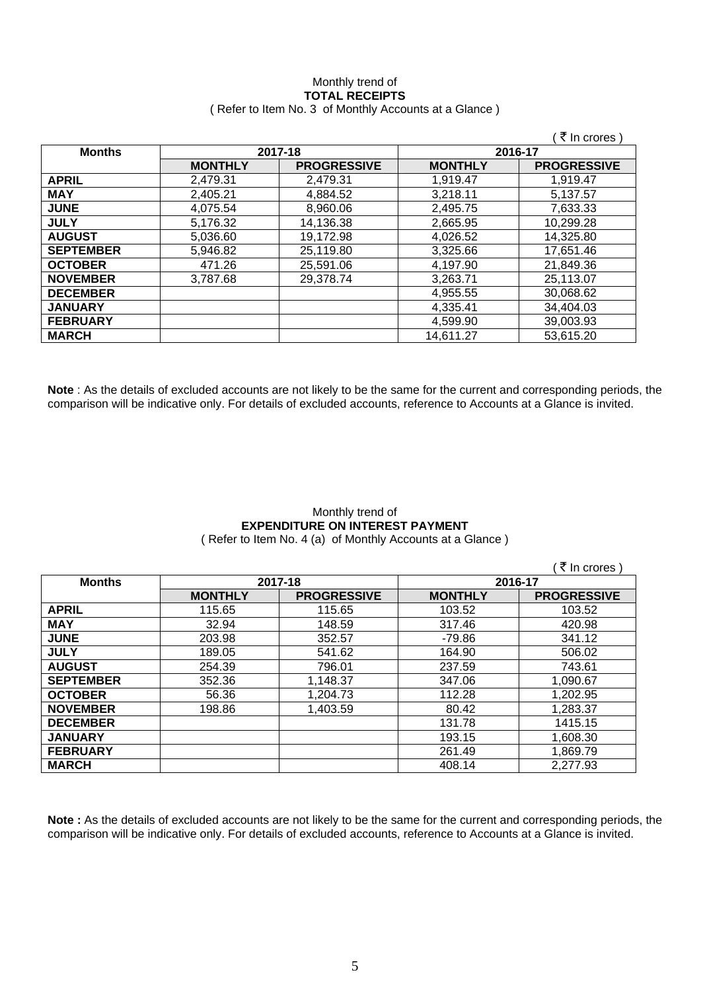#### Monthly trend of **TOTAL RECEIPTS**  ( Refer to Item No. 3 of Monthly Accounts at a Glance )

|                  |                |                    |                | ₹ In crores)       |
|------------------|----------------|--------------------|----------------|--------------------|
| <b>Months</b>    | 2017-18        |                    | 2016-17        |                    |
|                  | <b>MONTHLY</b> | <b>PROGRESSIVE</b> | <b>MONTHLY</b> | <b>PROGRESSIVE</b> |
| <b>APRIL</b>     | 2.479.31       | 2.479.31           | 1.919.47       | 1.919.47           |
| <b>MAY</b>       | 2,405.21       | 4,884.52           | 3,218.11       | 5,137.57           |
| <b>JUNE</b>      | 4.075.54       | 8,960.06           | 2,495.75       | 7,633.33           |
| <b>JULY</b>      | 5,176.32       | 14,136.38          | 2,665.95       | 10,299.28          |
| <b>AUGUST</b>    | 5.036.60       | 19.172.98          | 4.026.52       | 14,325.80          |
| <b>SEPTEMBER</b> | 5.946.82       | 25,119.80          | 3,325.66       | 17,651.46          |
| <b>OCTOBER</b>   | 471.26         | 25,591.06          | 4,197.90       | 21,849.36          |
| <b>NOVEMBER</b>  | 3.787.68       | 29,378.74          | 3.263.71       | 25,113.07          |
| <b>DECEMBER</b>  |                |                    | 4,955.55       | 30,068.62          |
| <b>JANUARY</b>   |                |                    | 4,335.41       | 34,404.03          |
| <b>FEBRUARY</b>  |                |                    | 4,599.90       | 39,003.93          |
| <b>MARCH</b>     |                |                    | 14,611.27      | 53,615.20          |

**Note** : As the details of excluded accounts are not likely to be the same for the current and corresponding periods, the comparison will be indicative only. For details of excluded accounts, reference to Accounts at a Glance is invited.

## Monthly trend of **EXPENDITURE ON INTEREST PAYMENT**

( Refer to Item No. 4 (a) of Monthly Accounts at a Glance )

|                  |                |                    |                | ( ₹ In crores )    |
|------------------|----------------|--------------------|----------------|--------------------|
| <b>Months</b>    |                | 2017-18            | 2016-17        |                    |
|                  | <b>MONTHLY</b> | <b>PROGRESSIVE</b> | <b>MONTHLY</b> | <b>PROGRESSIVE</b> |
| <b>APRIL</b>     | 115.65         | 115.65             | 103.52         | 103.52             |
| <b>MAY</b>       | 32.94          | 148.59             | 317.46         | 420.98             |
| <b>JUNE</b>      | 203.98         | 352.57             | $-79.86$       | 341.12             |
| <b>JULY</b>      | 189.05         | 541.62             | 164.90         | 506.02             |
| <b>AUGUST</b>    | 254.39         | 796.01             | 237.59         | 743.61             |
| <b>SEPTEMBER</b> | 352.36         | 1,148.37           | 347.06         | 1,090.67           |
| <b>OCTOBER</b>   | 56.36          | 1,204.73           | 112.28         | 1,202.95           |
| <b>NOVEMBER</b>  | 198.86         | 1,403.59           | 80.42          | 1,283.37           |
| <b>DECEMBER</b>  |                |                    | 131.78         | 1415.15            |
| <b>JANUARY</b>   |                |                    | 193.15         | 1,608.30           |
| <b>FEBRUARY</b>  |                |                    | 261.49         | 1,869.79           |
| <b>MARCH</b>     |                |                    | 408.14         | 2,277.93           |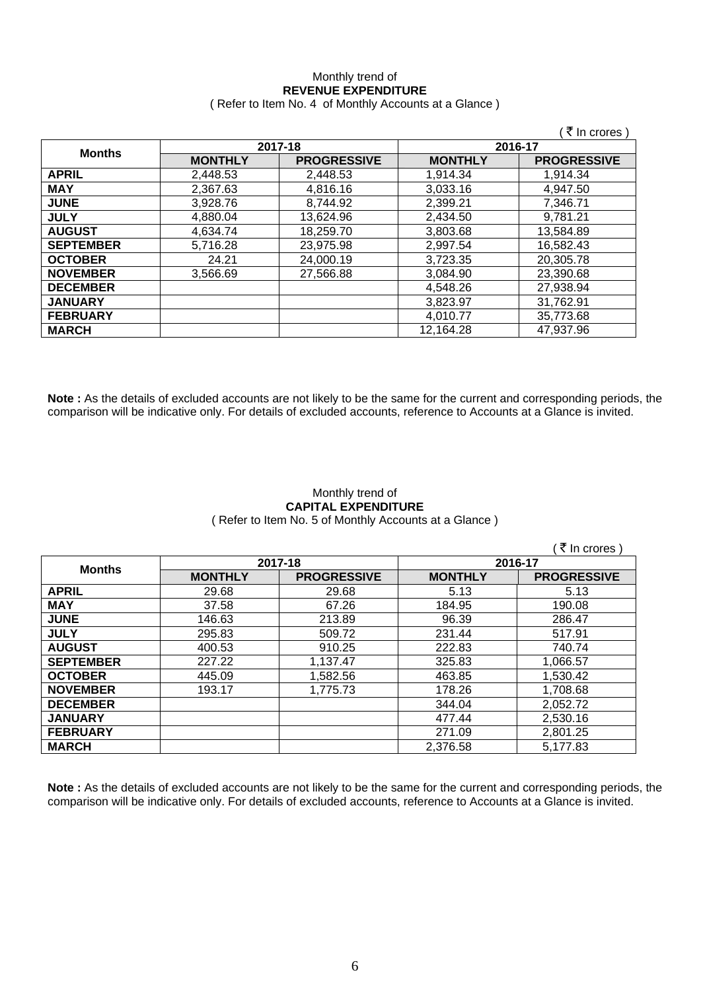#### Monthly trend of **REVENUE EXPENDITURE**  ( Refer to Item No. 4 of Monthly Accounts at a Glance )

|                  |                |                    |                | ₹ In crores        |
|------------------|----------------|--------------------|----------------|--------------------|
| <b>Months</b>    |                | 2017-18            |                | 2016-17            |
|                  | <b>MONTHLY</b> | <b>PROGRESSIVE</b> | <b>MONTHLY</b> | <b>PROGRESSIVE</b> |
| <b>APRIL</b>     | 2.448.53       | 2.448.53           | 1,914.34       | 1,914.34           |
| <b>MAY</b>       | 2,367.63       | 4.816.16           | 3.033.16       | 4,947.50           |
| <b>JUNE</b>      | 3,928.76       | 8,744.92           | 2,399.21       | 7,346.71           |
| <b>JULY</b>      | 4,880.04       | 13,624.96          | 2,434.50       | 9,781.21           |
| <b>AUGUST</b>    | 4.634.74       | 18,259.70          | 3,803.68       | 13,584.89          |
| <b>SEPTEMBER</b> | 5,716.28       | 23,975.98          | 2,997.54       | 16,582.43          |
| <b>OCTOBER</b>   | 24.21          | 24.000.19          | 3,723.35       | 20.305.78          |
| <b>NOVEMBER</b>  | 3.566.69       | 27,566.88          | 3.084.90       | 23,390.68          |
| <b>DECEMBER</b>  |                |                    | 4,548.26       | 27,938.94          |
| <b>JANUARY</b>   |                |                    | 3,823.97       | 31.762.91          |
| <b>FEBRUARY</b>  |                |                    | 4,010.77       | 35,773.68          |
| <b>MARCH</b>     |                |                    | 12,164.28      | 47,937.96          |

**Note :** As the details of excluded accounts are not likely to be the same for the current and corresponding periods, the comparison will be indicative only. For details of excluded accounts, reference to Accounts at a Glance is invited.

#### Monthly trend of **CAPITAL EXPENDITURE**  ( Refer to Item No. 5 of Monthly Accounts at a Glance )

|                  |                |                    |                | ∶ <i>₹</i> In crores ) |
|------------------|----------------|--------------------|----------------|------------------------|
| <b>Months</b>    |                | 2017-18            |                | 2016-17                |
|                  | <b>MONTHLY</b> | <b>PROGRESSIVE</b> | <b>MONTHLY</b> | <b>PROGRESSIVE</b>     |
| <b>APRIL</b>     | 29.68          | 29.68              | 5.13           | 5.13                   |
| <b>MAY</b>       | 37.58          | 67.26              | 184.95         | 190.08                 |
| <b>JUNE</b>      | 146.63         | 213.89             | 96.39          | 286.47                 |
| <b>JULY</b>      | 295.83         | 509.72             | 231.44         | 517.91                 |
| <b>AUGUST</b>    | 400.53         | 910.25             | 222.83         | 740.74                 |
| <b>SEPTEMBER</b> | 227.22         | 1,137.47           | 325.83         | 1,066.57               |
| <b>OCTOBER</b>   | 445.09         | 1,582.56           | 463.85         | 1,530.42               |
| <b>NOVEMBER</b>  | 193.17         | 1,775.73           | 178.26         | 1,708.68               |
| <b>DECEMBER</b>  |                |                    | 344.04         | 2,052.72               |
| <b>JANUARY</b>   |                |                    | 477.44         | 2,530.16               |
| <b>FEBRUARY</b>  |                |                    | 271.09         | 2,801.25               |
| <b>MARCH</b>     |                |                    | 2,376.58       | 5,177.83               |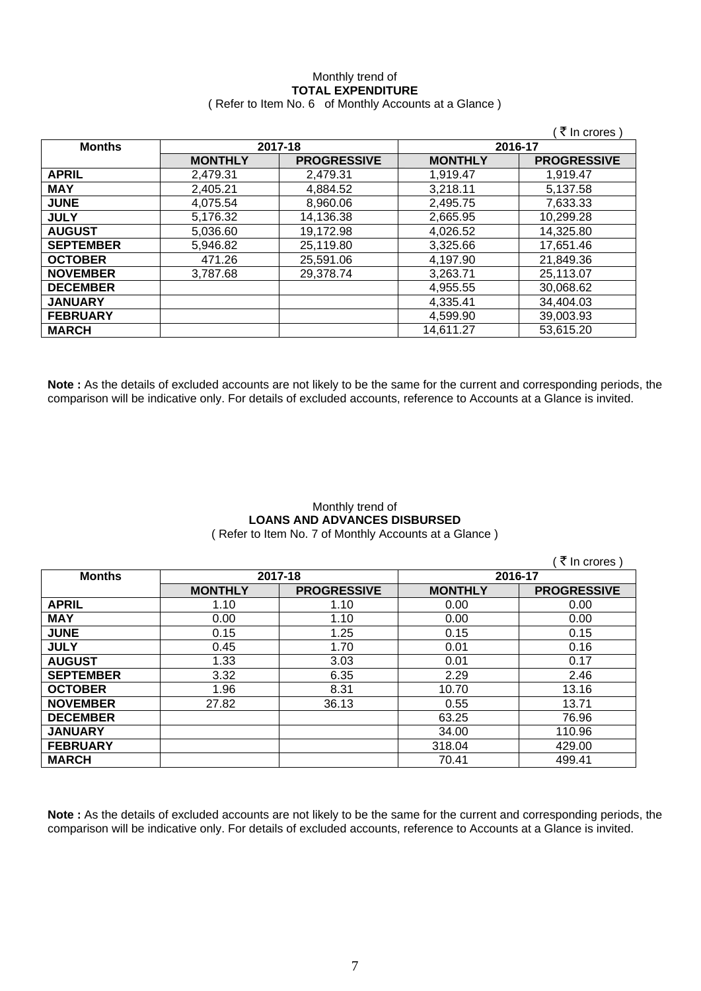#### Monthly trend of **TOTAL EXPENDITURE**  ( Refer to Item No. 6 of Monthly Accounts at a Glance )

|                  |                |                    |                | ़₹ In crores )     |
|------------------|----------------|--------------------|----------------|--------------------|
| <b>Months</b>    | 2017-18        |                    | 2016-17        |                    |
|                  | <b>MONTHLY</b> | <b>PROGRESSIVE</b> | <b>MONTHLY</b> | <b>PROGRESSIVE</b> |
| <b>APRIL</b>     | 2,479.31       | 2,479.31           | 1,919.47       | 1,919.47           |
| <b>MAY</b>       | 2,405.21       | 4,884.52           | 3,218.11       | 5.137.58           |
| <b>JUNE</b>      | 4,075.54       | 8,960.06           | 2,495.75       | 7,633.33           |
| <b>JULY</b>      | 5,176.32       | 14,136.38          | 2,665.95       | 10,299.28          |
| <b>AUGUST</b>    | 5.036.60       | 19,172.98          | 4.026.52       | 14.325.80          |
| <b>SEPTEMBER</b> | 5,946.82       | 25,119.80          | 3,325.66       | 17,651.46          |
| <b>OCTOBER</b>   | 471.26         | 25,591.06          | 4,197.90       | 21,849.36          |
| <b>NOVEMBER</b>  | 3,787.68       | 29,378.74          | 3,263.71       | 25,113.07          |
| <b>DECEMBER</b>  |                |                    | 4,955.55       | 30,068.62          |
| <b>JANUARY</b>   |                |                    | 4,335.41       | 34,404.03          |
| <b>FEBRUARY</b>  |                |                    | 4,599.90       | 39,003.93          |
| <b>MARCH</b>     |                |                    | 14,611.27      | 53,615.20          |

**Note :** As the details of excluded accounts are not likely to be the same for the current and corresponding periods, the comparison will be indicative only. For details of excluded accounts, reference to Accounts at a Glance is invited.

# Monthly trend of **LOANS AND ADVANCES DISBURSED**

( Refer to Item No. 7 of Monthly Accounts at a Glance )

 $($   $\bar{z}$  In crores ) **Months 2017-18 2016-17 MONTHLY PROGRESSIVE MONTHLY PROGRESSIVE APRIL** 1.10 1.10 0.00 0.00 **MAY** | 0.00 | 1.10 | 0.00 | 0.00 **JUNE** 0.15 1.25 0.15 0.15 **JULY** 0.45 1.70 0.01 0.16 **AUGUST** 1.33 3.03 0.01 0.17 **SEPTEMBER** 3.32 6.35 2.29 2.46 **OCTOBER** | 1.96 | 8.31 | 10.70 | 13.16 **NOVEMBER 27.82 36.13 0.55 13.71 DECEMBER** | 76.96 **JANUARY** 34.00 110.96 **FEBRUARY** 1 429.00 **MARCH** 70.41 499.41